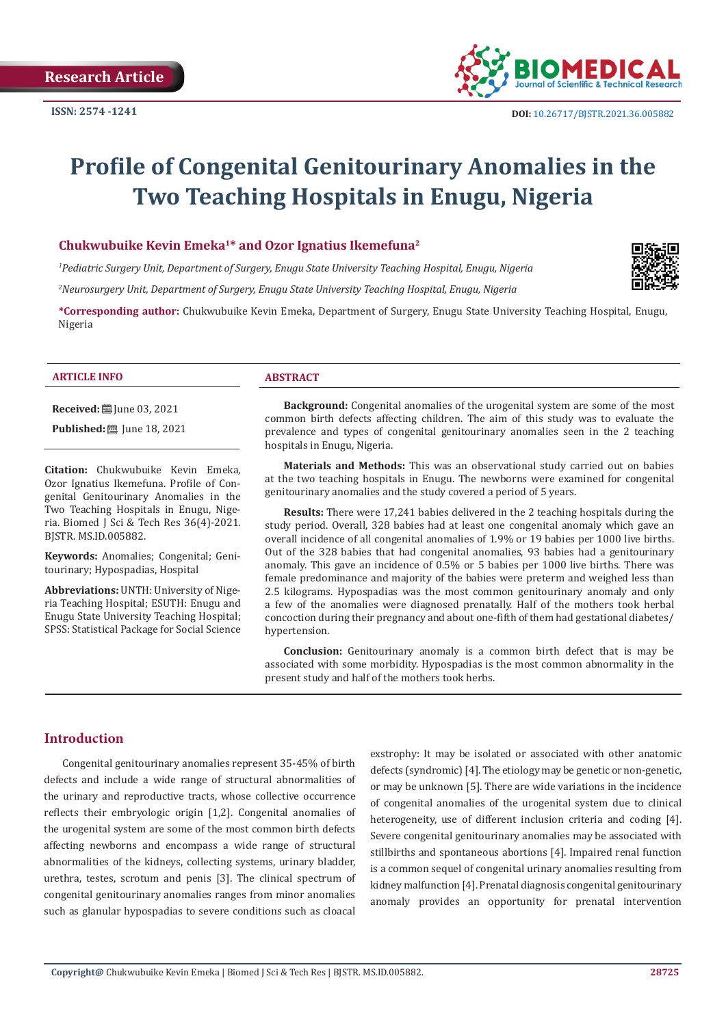

# **Profile of Congenital Genitourinary Anomalies in the Two Teaching Hospitals in Enugu, Nigeria**

# **Chukwubuike Kevin Emeka<sup>1</sup>\* and Ozor Ignatius Ikemefuna<sup>2</sup>**

*1 Pediatric Surgery Unit, Department of Surgery, Enugu State University Teaching Hospital, Enugu, Nigeria*

*2 Neurosurgery Unit, Department of Surgery, Enugu State University Teaching Hospital, Enugu, Nigeria*

**\*Corresponding author:** Chukwubuike Kevin Emeka, Department of Surgery, Enugu State University Teaching Hospital, Enugu, Nigeria

## **ARTICLE INFO ABSTRACT**

**Received:** ■ June 03, 2021

**Published:** ■ June 18, 2021

**Citation:** Chukwubuike Kevin Emeka, Ozor Ignatius Ikemefuna. Profile of Congenital Genitourinary Anomalies in the Two Teaching Hospitals in Enugu, Nigeria. Biomed J Sci & Tech Res 36(4)-2021. BJSTR. MS.ID.005882.

**Keywords:** Anomalies; Congenital; Genitourinary; Hypospadias, Hospital

**Abbreviations:** UNTH: University of Nigeria Teaching Hospital; ESUTH: Enugu and Enugu State University Teaching Hospital; SPSS: Statistical Package for Social Science

**Background:** Congenital anomalies of the urogenital system are some of the most common birth defects affecting children. The aim of this study was to evaluate the prevalence and types of congenital genitourinary anomalies seen in the 2 teaching hospitals in Enugu, Nigeria.

**Materials and Methods:** This was an observational study carried out on babies at the two teaching hospitals in Enugu. The newborns were examined for congenital genitourinary anomalies and the study covered a period of 5 years.

**Results:** There were 17,241 babies delivered in the 2 teaching hospitals during the study period. Overall, 328 babies had at least one congenital anomaly which gave an overall incidence of all congenital anomalies of 1.9% or 19 babies per 1000 live births. Out of the 328 babies that had congenital anomalies, 93 babies had a genitourinary anomaly. This gave an incidence of 0.5% or 5 babies per 1000 live births. There was female predominance and majority of the babies were preterm and weighed less than 2.5 kilograms. Hypospadias was the most common genitourinary anomaly and only a few of the anomalies were diagnosed prenatally. Half of the mothers took herbal concoction during their pregnancy and about one-fifth of them had gestational diabetes/ hypertension.

**Conclusion:** Genitourinary anomaly is a common birth defect that is may be associated with some morbidity. Hypospadias is the most common abnormality in the present study and half of the mothers took herbs.

# **Introduction**

Congenital genitourinary anomalies represent 35-45% of birth defects and include a wide range of structural abnormalities of the urinary and reproductive tracts, whose collective occurrence reflects their embryologic origin [1,2]. Congenital anomalies of the urogenital system are some of the most common birth defects affecting newborns and encompass a wide range of structural abnormalities of the kidneys, collecting systems, urinary bladder, urethra, testes, scrotum and penis [3]. The clinical spectrum of congenital genitourinary anomalies ranges from minor anomalies such as glanular hypospadias to severe conditions such as cloacal

exstrophy: It may be isolated or associated with other anatomic defects (syndromic) [4]. The etiology may be genetic or non-genetic, or may be unknown [5]. There are wide variations in the incidence of congenital anomalies of the urogenital system due to clinical heterogeneity, use of different inclusion criteria and coding [4]. Severe congenital genitourinary anomalies may be associated with stillbirths and spontaneous abortions [4]. Impaired renal function is a common sequel of congenital urinary anomalies resulting from kidney malfunction [4]. Prenatal diagnosis congenital genitourinary anomaly provides an opportunity for prenatal intervention

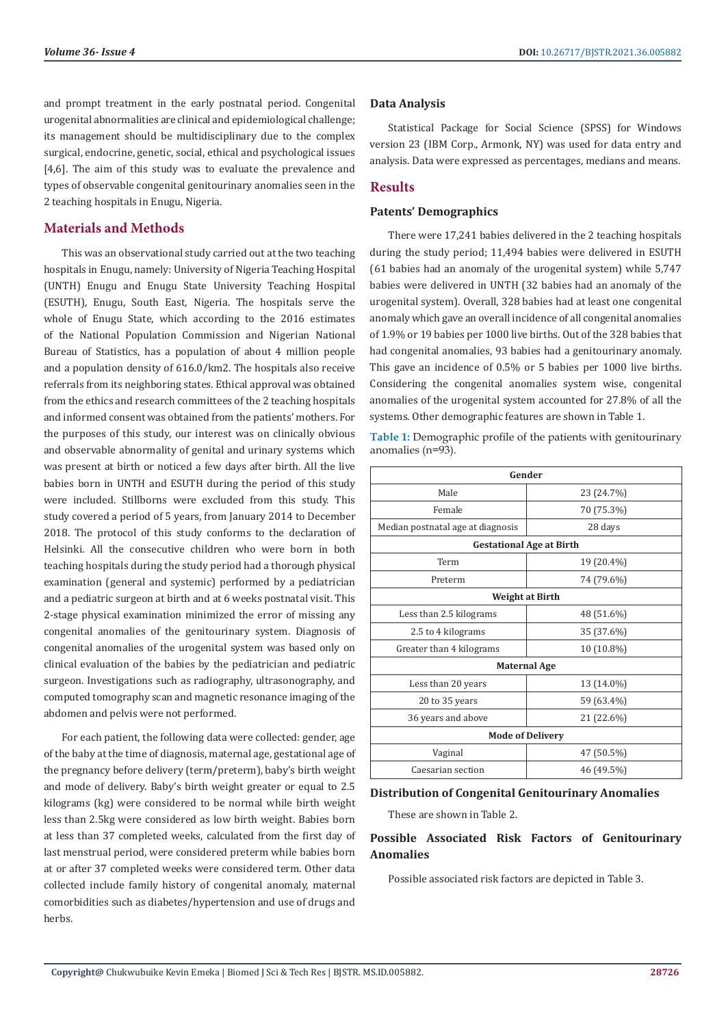and prompt treatment in the early postnatal period. Congenital urogenital abnormalities are clinical and epidemiological challenge; its management should be multidisciplinary due to the complex surgical, endocrine, genetic, social, ethical and psychological issues [4,6]. The aim of this study was to evaluate the prevalence and types of observable congenital genitourinary anomalies seen in the 2 teaching hospitals in Enugu, Nigeria.

# **Materials and Methods**

This was an observational study carried out at the two teaching hospitals in Enugu, namely: University of Nigeria Teaching Hospital (UNTH) Enugu and Enugu State University Teaching Hospital (ESUTH), Enugu, South East, Nigeria. The hospitals serve the whole of Enugu State, which according to the 2016 estimates of the National Population Commission and Nigerian National Bureau of Statistics, has a population of about 4 million people and a population density of 616.0/km2. The hospitals also receive referrals from its neighboring states. Ethical approval was obtained from the ethics and research committees of the 2 teaching hospitals and informed consent was obtained from the patients' mothers. For the purposes of this study, our interest was on clinically obvious and observable abnormality of genital and urinary systems which was present at birth or noticed a few days after birth. All the live babies born in UNTH and ESUTH during the period of this study were included. Stillborns were excluded from this study. This study covered a period of 5 years, from January 2014 to December 2018. The protocol of this study conforms to the declaration of Helsinki. All the consecutive children who were born in both teaching hospitals during the study period had a thorough physical examination (general and systemic) performed by a pediatrician and a pediatric surgeon at birth and at 6 weeks postnatal visit. This 2-stage physical examination minimized the error of missing any congenital anomalies of the genitourinary system. Diagnosis of congenital anomalies of the urogenital system was based only on clinical evaluation of the babies by the pediatrician and pediatric surgeon. Investigations such as radiography, ultrasonography, and computed tomography scan and magnetic resonance imaging of the abdomen and pelvis were not performed.

For each patient, the following data were collected: gender, age of the baby at the time of diagnosis, maternal age, gestational age of the pregnancy before delivery (term/preterm), baby's birth weight and mode of delivery. Baby's birth weight greater or equal to 2.5 kilograms (kg) were considered to be normal while birth weight less than 2.5kg were considered as low birth weight. Babies born at less than 37 completed weeks, calculated from the first day of last menstrual period, were considered preterm while babies born at or after 37 completed weeks were considered term. Other data collected include family history of congenital anomaly, maternal comorbidities such as diabetes/hypertension and use of drugs and herbs.

# **Data Analysis**

Statistical Package for Social Science (SPSS) for Windows version 23 (IBM Corp., Armonk, NY) was used for data entry and analysis. Data were expressed as percentages, medians and means.

# **Results**

# **Patents' Demographics**

There were 17,241 babies delivered in the 2 teaching hospitals during the study period; 11,494 babies were delivered in ESUTH (61 babies had an anomaly of the urogenital system) while 5,747 babies were delivered in UNTH (32 babies had an anomaly of the urogenital system). Overall, 328 babies had at least one congenital anomaly which gave an overall incidence of all congenital anomalies of 1.9% or 19 babies per 1000 live births. Out of the 328 babies that had congenital anomalies, 93 babies had a genitourinary anomaly. This gave an incidence of 0.5% or 5 babies per 1000 live births. Considering the congenital anomalies system wise, congenital anomalies of the urogenital system accounted for 27.8% of all the systems. Other demographic features are shown in Table 1.

**Table 1:** Demographic profile of the patients with genitourinary anomalies (n=93).

| Gender                            |            |  |  |
|-----------------------------------|------------|--|--|
| Male                              | 23 (24.7%) |  |  |
| Female                            | 70 (75.3%) |  |  |
| Median postnatal age at diagnosis | 28 days    |  |  |
| <b>Gestational Age at Birth</b>   |            |  |  |
| Term                              | 19 (20.4%) |  |  |
| Preterm                           | 74 (79.6%) |  |  |
| <b>Weight at Birth</b>            |            |  |  |
| Less than 2.5 kilograms           | 48 (51.6%) |  |  |
| 2.5 to 4 kilograms                | 35 (37.6%) |  |  |
| Greater than 4 kilograms          | 10 (10.8%) |  |  |
| <b>Maternal Age</b>               |            |  |  |
| Less than 20 years                | 13 (14.0%) |  |  |
| 20 to 35 years                    | 59 (63.4%) |  |  |
| 36 years and above                | 21 (22.6%) |  |  |
| <b>Mode of Delivery</b>           |            |  |  |
| Vaginal                           | 47 (50.5%) |  |  |
| Caesarian section                 | 46 (49.5%) |  |  |

# **Distribution of Congenital Genitourinary Anomalies**

These are shown in Table 2.

# **Possible Associated Risk Factors of Genitourinary Anomalies**

Possible associated risk factors are depicted in Table 3.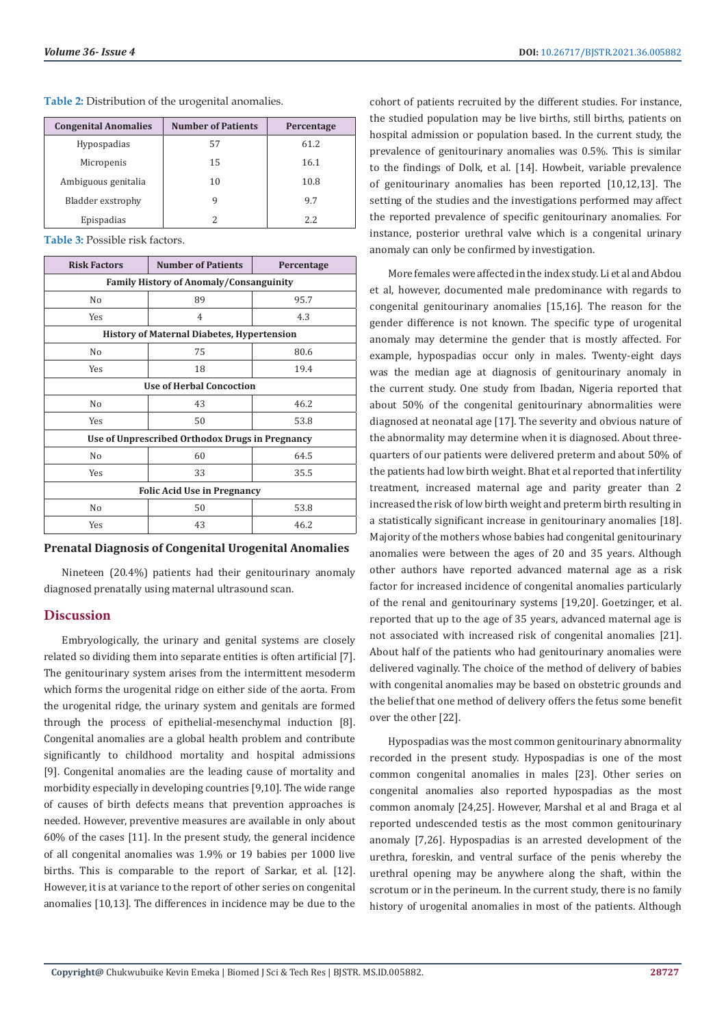| <b>Congenital Anomalies</b> | <b>Number of Patients</b> | Percentage |
|-----------------------------|---------------------------|------------|
| Hypospadias                 | 57                        | 61.2       |
| Micropenis                  | 15                        | 16.1       |
| Ambiguous genitalia         | 10                        | 10.8       |
| Bladder exstrophy           |                           | 9.7        |
| Epispadias                  |                           | 2.2.       |

**Table 2:** Distribution of the urogenital anomalies.

**Table 3:** Possible risk factors.

| <b>Risk Factors</b>                               | <b>Number of Patients</b> | Percentage |  |
|---------------------------------------------------|---------------------------|------------|--|
| <b>Family History of Anomaly/Consanguinity</b>    |                           |            |  |
| No                                                | 89                        | 95.7       |  |
| Yes                                               | 4                         | 4.3        |  |
| <b>History of Maternal Diabetes, Hypertension</b> |                           |            |  |
| No                                                | 75                        | 80.6       |  |
| Yes                                               | 18                        | 19.4       |  |
| <b>Use of Herbal Concoction</b>                   |                           |            |  |
| N <sub>0</sub>                                    | 43                        | 46.2       |  |
| Yes                                               | 50                        | 53.8       |  |
| Use of Unprescribed Orthodox Drugs in Pregnancy   |                           |            |  |
| N <sub>o</sub>                                    | 60                        | 64.5       |  |
| Yes                                               | 33                        | 35.5       |  |
| <b>Folic Acid Use in Pregnancy</b>                |                           |            |  |
| No                                                | 50                        | 53.8       |  |
| Yes                                               | 43                        | 46.2       |  |

# **Prenatal Diagnosis of Congenital Urogenital Anomalies**

Nineteen (20.4%) patients had their genitourinary anomaly diagnosed prenatally using maternal ultrasound scan.

# **Discussion**

Embryologically, the urinary and genital systems are closely related so dividing them into separate entities is often artificial [7]. The genitourinary system arises from the intermittent mesoderm which forms the urogenital ridge on either side of the aorta. From the urogenital ridge, the urinary system and genitals are formed through the process of epithelial-mesenchymal induction [8]. Congenital anomalies are a global health problem and contribute significantly to childhood mortality and hospital admissions [9]. Congenital anomalies are the leading cause of mortality and morbidity especially in developing countries [9,10]. The wide range of causes of birth defects means that prevention approaches is needed. However, preventive measures are available in only about 60% of the cases [11]. In the present study, the general incidence of all congenital anomalies was 1.9% or 19 babies per 1000 live births. This is comparable to the report of Sarkar, et al. [12]. However, it is at variance to the report of other series on congenital anomalies [10,13]. The differences in incidence may be due to the cohort of patients recruited by the different studies. For instance, the studied population may be live births, still births, patients on hospital admission or population based. In the current study, the prevalence of genitourinary anomalies was 0.5%. This is similar to the findings of Dolk, et al. [14]. Howbeit, variable prevalence of genitourinary anomalies has been reported [10,12,13]. The setting of the studies and the investigations performed may affect the reported prevalence of specific genitourinary anomalies. For instance, posterior urethral valve which is a congenital urinary anomaly can only be confirmed by investigation.

More females were affected in the index study. Li et al and Abdou et al, however, documented male predominance with regards to congenital genitourinary anomalies [15,16]. The reason for the gender difference is not known. The specific type of urogenital anomaly may determine the gender that is mostly affected. For example, hypospadias occur only in males. Twenty-eight days was the median age at diagnosis of genitourinary anomaly in the current study. One study from Ibadan, Nigeria reported that about 50% of the congenital genitourinary abnormalities were diagnosed at neonatal age [17]. The severity and obvious nature of the abnormality may determine when it is diagnosed. About threequarters of our patients were delivered preterm and about 50% of the patients had low birth weight. Bhat et al reported that infertility treatment, increased maternal age and parity greater than 2 increased the risk of low birth weight and preterm birth resulting in a statistically significant increase in genitourinary anomalies [18]. Majority of the mothers whose babies had congenital genitourinary anomalies were between the ages of 20 and 35 years. Although other authors have reported advanced maternal age as a risk factor for increased incidence of congenital anomalies particularly of the renal and genitourinary systems [19,20]. Goetzinger, et al. reported that up to the age of 35 years, advanced maternal age is not associated with increased risk of congenital anomalies [21]. About half of the patients who had genitourinary anomalies were delivered vaginally. The choice of the method of delivery of babies with congenital anomalies may be based on obstetric grounds and the belief that one method of delivery offers the fetus some benefit over the other [22].

Hypospadias was the most common genitourinary abnormality recorded in the present study. Hypospadias is one of the most common congenital anomalies in males [23]. Other series on congenital anomalies also reported hypospadias as the most common anomaly [24,25]. However, Marshal et al and Braga et al reported undescended testis as the most common genitourinary anomaly [7,26]. Hypospadias is an arrested development of the urethra, foreskin, and ventral surface of the penis whereby the urethral opening may be anywhere along the shaft, within the scrotum or in the perineum. In the current study, there is no family history of urogenital anomalies in most of the patients. Although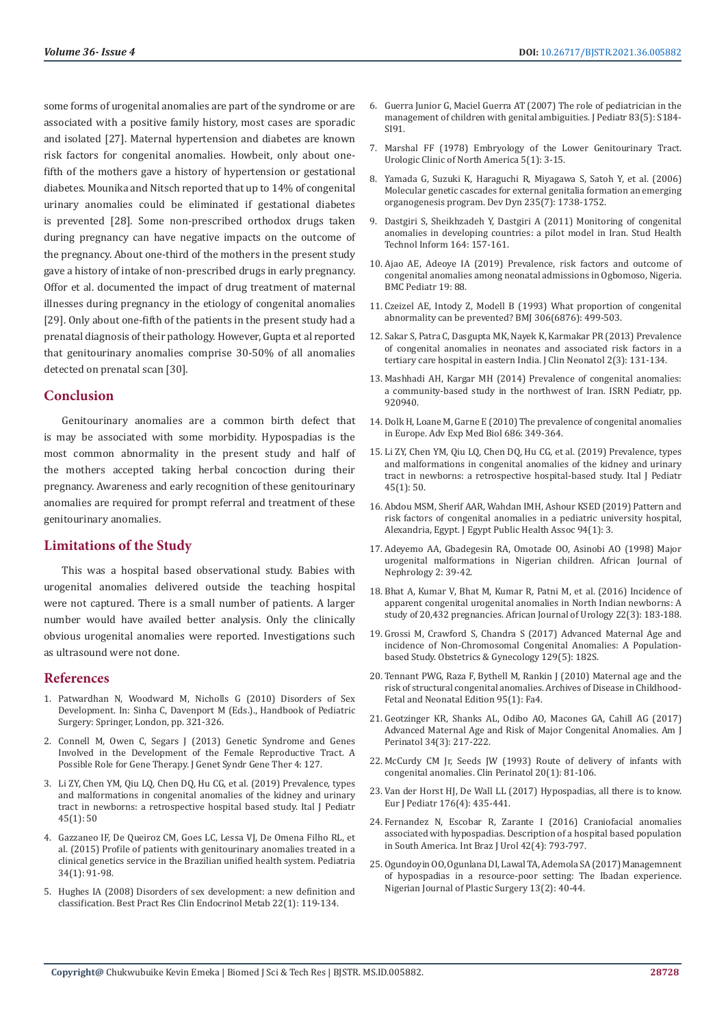some forms of urogenital anomalies are part of the syndrome or are associated with a positive family history, most cases are sporadic and isolated [27]. Maternal hypertension and diabetes are known risk factors for congenital anomalies. Howbeit, only about onefifth of the mothers gave a history of hypertension or gestational diabetes. Mounika and Nitsch reported that up to 14% of congenital urinary anomalies could be eliminated if gestational diabetes is prevented [28]. Some non-prescribed orthodox drugs taken during pregnancy can have negative impacts on the outcome of the pregnancy. About one-third of the mothers in the present study gave a history of intake of non-prescribed drugs in early pregnancy. Offor et al. documented the impact of drug treatment of maternal illnesses during pregnancy in the etiology of congenital anomalies [29]. Only about one-fifth of the patients in the present study had a prenatal diagnosis of their pathology. However, Gupta et al reported that genitourinary anomalies comprise 30-50% of all anomalies detected on prenatal scan [30].

# **Conclusion**

Genitourinary anomalies are a common birth defect that is may be associated with some morbidity. Hypospadias is the most common abnormality in the present study and half of the mothers accepted taking herbal concoction during their pregnancy. Awareness and early recognition of these genitourinary anomalies are required for prompt referral and treatment of these genitourinary anomalies.

# **Limitations of the Study**

This was a hospital based observational study. Babies with urogenital anomalies delivered outside the teaching hospital were not captured. There is a small number of patients. A larger number would have availed better analysis. Only the clinically obvious urogenital anomalies were reported. Investigations such as ultrasound were not done.

# **References**

- 1. [Patwardhan N, Woodward M, Nicholls G \(2010\) Disorders of Sex](https://link.springer.com/chapter/10.1007/978-1-84882-132-3_46)  [Development. In: Sinha C, Davenport M \(Eds.\)., Handbook of Pediatric](https://link.springer.com/chapter/10.1007/978-1-84882-132-3_46)  [Surgery: Springer, London, pp. 321-326.](https://link.springer.com/chapter/10.1007/978-1-84882-132-3_46)
- 2. Connell M, Owen C, Segars J (2013) Genetic Syndrome and Genes [Involved in the Development of the Female Reproductive Tract. A](https://pubmed.ncbi.nlm.nih.gov/25506511/)  [Possible Role for Gene Therapy. J Genet Syndr Gene Ther 4: 127.](https://pubmed.ncbi.nlm.nih.gov/25506511/)
- 3. [Li ZY, Chen YM, Qiu LQ, Chen DQ, Hu CG, et al. \(2019\) Prevalence, types](https://pubmed.ncbi.nlm.nih.gov/30999930/)  [and malformations in congenital anomalies of the kidney and urinary](https://pubmed.ncbi.nlm.nih.gov/30999930/)  [tract in newborns: a retrospective hospital based study. Ital J Pediatr](https://pubmed.ncbi.nlm.nih.gov/30999930/)  [45\(1\): 50](https://pubmed.ncbi.nlm.nih.gov/30999930/)
- 4. [Gazzaneo IF, De Queiroz CM, Goes LC, Lessa VJ, De Omena Filho RL, et](https://www.scielo.br/j/rpp/a/pCjvPmVzJ6JkjdbvZJ5V3nd/?lang=en&format=html)  [al. \(2015\) Profile of patients with genitourinary anomalies treated in a](https://www.scielo.br/j/rpp/a/pCjvPmVzJ6JkjdbvZJ5V3nd/?lang=en&format=html)  [clinical genetics service in the Brazilian unified health system. Pediatria](https://www.scielo.br/j/rpp/a/pCjvPmVzJ6JkjdbvZJ5V3nd/?lang=en&format=html)  [34\(1\): 91-98.](https://www.scielo.br/j/rpp/a/pCjvPmVzJ6JkjdbvZJ5V3nd/?lang=en&format=html)
- 5. [Hughes IA \(2008\) Disorders of sex development: a new definition and](https://pubmed.ncbi.nlm.nih.gov/18279784/)  [classification. Best Pract Res Clin Endocrinol Metab 22\(1\): 119-134.](https://pubmed.ncbi.nlm.nih.gov/18279784/)
- 6. [Guerra Junior G, Maciel Guerra AT \(2007\) The role of pediatrician in the](https://pubmed.ncbi.nlm.nih.gov/17973056/) [management of children with genital ambiguities. J Pediatr 83\(5\): S184-](https://pubmed.ncbi.nlm.nih.gov/17973056/) [SI91.](https://pubmed.ncbi.nlm.nih.gov/17973056/)
- 7. [Marshal FF \(1978\) Embryology of the Lower Genitourinary Tract.](https://pubmed.ncbi.nlm.nih.gov/347662/) [Urologic Clinic of North America 5\(1\): 3-15.](https://pubmed.ncbi.nlm.nih.gov/347662/)
- 8. [Yamada G, Suzuki K, Haraguchi R, Miyagawa S, Satoh Y, et al. \(2006\)](https://anatomypubs.onlinelibrary.wiley.com/doi/full/10.1002/dvdy.20807) [Molecular genetic cascades for external genitalia formation an emerging](https://anatomypubs.onlinelibrary.wiley.com/doi/full/10.1002/dvdy.20807) [organogenesis program. Dev Dyn 235\(7\): 1738-1752.](https://anatomypubs.onlinelibrary.wiley.com/doi/full/10.1002/dvdy.20807)
- 9. [Dastgiri S, Sheikhzadeh Y, Dastgiri A \(2011\) Monitoring of congenital](https://pubmed.ncbi.nlm.nih.gov/21335704/) [anomalies in developing countries: a pilot model in Iran. Stud Health](https://pubmed.ncbi.nlm.nih.gov/21335704/) [Technol Inform 164: 157-161.](https://pubmed.ncbi.nlm.nih.gov/21335704/)
- 10. [Ajao AE, Adeoye IA \(2019\) Prevalence, risk factors and outcome of](https://bmcpediatr.biomedcentral.com/articles/10.1186/s12887-019-1471-1) [congenital anomalies among neonatal admissions in Ogbomoso, Nigeria.](https://bmcpediatr.biomedcentral.com/articles/10.1186/s12887-019-1471-1) [BMC Pediatr 19: 88.](https://bmcpediatr.biomedcentral.com/articles/10.1186/s12887-019-1471-1)
- 11. [Czeizel AE, Intody Z, Modell B \(1993\) What proportion of congenital](https://www.hindawi.com/journals/isrn/2014/920940/) [abnormality can be prevented? BMJ 306\(6876\): 499-503.](https://www.hindawi.com/journals/isrn/2014/920940/)
- 12. [Sakar S, Patra C, Dasgupta MK, Nayek K, Karmakar PR \(2013\) Prevalence](https://www.jcnonweb.com/article.asp?issn=2249-4847;year=2013;volume=2;issue=3;spage=131;epage=134;aulast=Sarkar) [of congenital anomalies in neonates and associated risk factors in a](https://www.jcnonweb.com/article.asp?issn=2249-4847;year=2013;volume=2;issue=3;spage=131;epage=134;aulast=Sarkar) [tertiary care hospital in eastern India. J Clin Neonatol 2\(3\): 131-134.](https://www.jcnonweb.com/article.asp?issn=2249-4847;year=2013;volume=2;issue=3;spage=131;epage=134;aulast=Sarkar)
- 13. [Mashhadi AH, Kargar MH \(2014\) Prevalence of congenital anomalies:](https://pubmed.ncbi.nlm.nih.gov/24995131/) [a community-based study in the northwest of Iran. ISRN Pediatr, pp.](https://pubmed.ncbi.nlm.nih.gov/24995131/) [920940.](https://pubmed.ncbi.nlm.nih.gov/24995131/)
- 14. [Dolk H, Loane M, Garne E \(2010\) The prevalence of congenital anomalies](https://pubmed.ncbi.nlm.nih.gov/20824455/) [in Europe. Adv Exp Med Biol 686: 349-364.](https://pubmed.ncbi.nlm.nih.gov/20824455/)
- 15. [Li ZY, Chen YM, Qiu LQ, Chen DQ, Hu CG, et al. \(2019\) Prevalence, types](https://pubmed.ncbi.nlm.nih.gov/30999930/) [and malformations in congenital anomalies of the kidney and urinary](https://pubmed.ncbi.nlm.nih.gov/30999930/) [tract in newborns: a retrospective hospital-based study. Ital J Pediatr](https://pubmed.ncbi.nlm.nih.gov/30999930/) [45\(1\): 50.](https://pubmed.ncbi.nlm.nih.gov/30999930/)
- 16. [Abdou MSM, Sherif AAR, Wahdan IMH, Ashour KSED \(2019\) Pattern and](https://jepha.springeropen.com/articles/10.1186/s42506-018-0004-3) [risk factors of congenital anomalies in a pediatric university hospital,](https://jepha.springeropen.com/articles/10.1186/s42506-018-0004-3) [Alexandria, Egypt. J Egypt Public Health Assoc 94\(1\): 3.](https://jepha.springeropen.com/articles/10.1186/s42506-018-0004-3)
- 17. [Adeyemo AA, Gbadegesin RA, Omotade OO, Asinobi AO \(1998\) Major](https://www.researchgate.net/publication/330388282_Major_urogenital_malformations_in_Nigerian_children) [urogenital malformations in Nigerian children. African Journal of](https://www.researchgate.net/publication/330388282_Major_urogenital_malformations_in_Nigerian_children) [Nephrology 2: 39-42.](https://www.researchgate.net/publication/330388282_Major_urogenital_malformations_in_Nigerian_children)
- 18. [Bhat A, Kumar V, Bhat M, Kumar R, Patni M, et al. \(2016\) Incidence of](https://www.sciencedirect.com/science/article/pii/S1110570416000163) [apparent congenital urogenital anomalies in North Indian newborns: A](https://www.sciencedirect.com/science/article/pii/S1110570416000163) [study of 20,432 pregnancies. African Journal of Urology 22\(3\): 183-188.](https://www.sciencedirect.com/science/article/pii/S1110570416000163)
- 19. [Grossi M, Crawford S, Chandra S \(2017\) Advanced Maternal Age and](https://journals.lww.com/greenjournal/Abstract/2017/05001/Advanced_Maternal_Age_and_Incidence_of.655.aspx) [incidence of Non-Chromosomal Congenital Anomalies: A Population](https://journals.lww.com/greenjournal/Abstract/2017/05001/Advanced_Maternal_Age_and_Incidence_of.655.aspx)[based Study. Obstetrics & Gynecology 129\(5\): 182S.](https://journals.lww.com/greenjournal/Abstract/2017/05001/Advanced_Maternal_Age_and_Incidence_of.655.aspx)
- 20. [Tennant PWG, Raza F, Bythell M, Rankin J \(2010\) Maternal age and the](https://fn.bmj.com/content/95/Suppl_1/Fa4.2) [risk of structural congenital anomalies. Archives of Disease in Childhood-](https://fn.bmj.com/content/95/Suppl_1/Fa4.2)[Fetal and Neonatal Edition 95\(1\): Fa4.](https://fn.bmj.com/content/95/Suppl_1/Fa4.2)
- 21. [Geotzinger KR, Shanks AL, Odibo AO, Macones GA, Cahill AG \(2017\)](https://pubmed.ncbi.nlm.nih.gov/27398707/) [Advanced Maternal Age and Risk of Major Congenital Anomalies. Am J](https://pubmed.ncbi.nlm.nih.gov/27398707/) [Perinatol 34\(3\): 217-222.](https://pubmed.ncbi.nlm.nih.gov/27398707/)
- 22. [McCurdy CM Jr, Seeds JW \(1993\) Route of delivery of infants with](https://pubmed.ncbi.nlm.nih.gov/8458172/) [congenital anomalies. Clin Perinatol 20\(1\): 81-106.](https://pubmed.ncbi.nlm.nih.gov/8458172/)
- 23. [Van der Horst HJ, De Wall LL \(2017\) Hypospadias, all there is to know.](https://pubmed.ncbi.nlm.nih.gov/28190103/) [Eur J Pediatr 176\(4\): 435-441.](https://pubmed.ncbi.nlm.nih.gov/28190103/)
- 24. [Fernandez N, Escobar R, Zarante I \(2016\) Craniofacial anomalies](https://pubmed.ncbi.nlm.nih.gov/27564292/) [associated with hypospadias. Description of a hospital based population](https://pubmed.ncbi.nlm.nih.gov/27564292/) [in South America. Int Braz J Urol 42\(4\): 793-797.](https://pubmed.ncbi.nlm.nih.gov/27564292/)
- 25. [Ogundoyin OO, Ogunlana DI, Lawal TA, Ademola SA \(2017\) Managemnent](https://www.njps.org/article.asp?issn=0794-9316;year=2017;volume=13;issue=2;spage=40;epage=44;aulast=Ogundoyin) [of hypospadias in a resource-poor setting: The Ibadan experience.](https://www.njps.org/article.asp?issn=0794-9316;year=2017;volume=13;issue=2;spage=40;epage=44;aulast=Ogundoyin) [Nigerian Journal of Plastic Surgery 13\(2\): 40-44.](https://www.njps.org/article.asp?issn=0794-9316;year=2017;volume=13;issue=2;spage=40;epage=44;aulast=Ogundoyin)